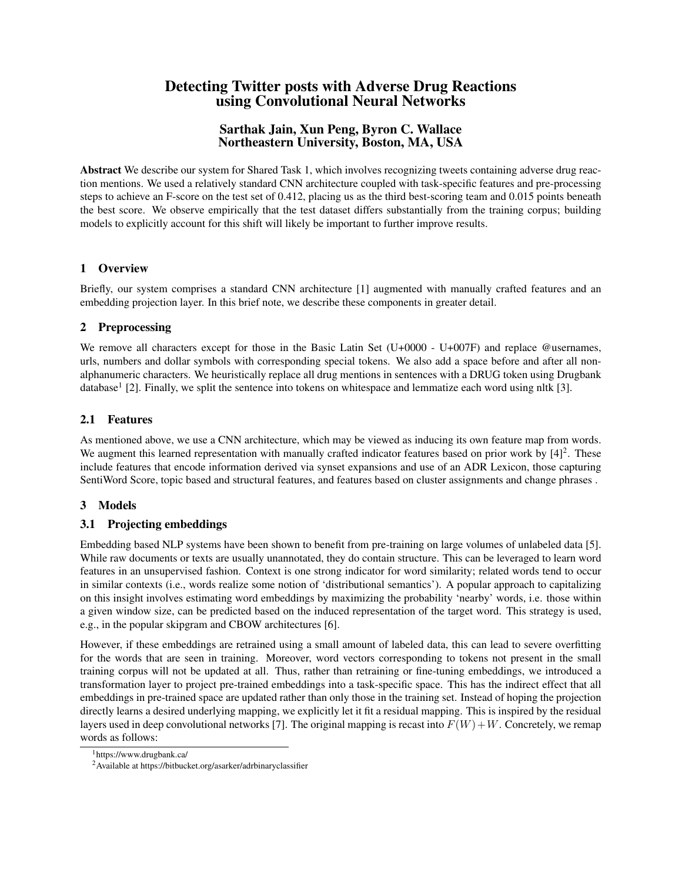# Detecting Twitter posts with Adverse Drug Reactions using Convolutional Neural Networks

# Sarthak Jain, Xun Peng, Byron C. Wallace Northeastern University, Boston, MA, USA

Abstract We describe our system for Shared Task 1, which involves recognizing tweets containing adverse drug reaction mentions. We used a relatively standard CNN architecture coupled with task-specific features and pre-processing steps to achieve an F-score on the test set of 0.412, placing us as the third best-scoring team and 0.015 points beneath the best score. We observe empirically that the test dataset differs substantially from the training corpus; building models to explicitly account for this shift will likely be important to further improve results.

### 1 Overview

Briefly, our system comprises a standard CNN architecture [1] augmented with manually crafted features and an embedding projection layer. In this brief note, we describe these components in greater detail.

### 2 Preprocessing

We remove all characters except for those in the Basic Latin Set (U+0000 - U+007F) and replace @usernames, urls, numbers and dollar symbols with corresponding special tokens. We also add a space before and after all nonalphanumeric characters. We heuristically replace all drug mentions in sentences with a DRUG token using Drugbank database<sup>1</sup> [2]. Finally, we split the sentence into tokens on whitespace and lemmatize each word using nltk [3].

# 2.1 Features

As mentioned above, we use a CNN architecture, which may be viewed as inducing its own feature map from words. We augment this learned representation with manually crafted indicator features based on prior work by  $[4]^2$ . These include features that encode information derived via synset expansions and use of an ADR Lexicon, those capturing SentiWord Score, topic based and structural features, and features based on cluster assignments and change phrases .

# 3 Models

# 3.1 Projecting embeddings

Embedding based NLP systems have been shown to benefit from pre-training on large volumes of unlabeled data [5]. While raw documents or texts are usually unannotated, they do contain structure. This can be leveraged to learn word features in an unsupervised fashion. Context is one strong indicator for word similarity; related words tend to occur in similar contexts (i.e., words realize some notion of 'distributional semantics'). A popular approach to capitalizing on this insight involves estimating word embeddings by maximizing the probability 'nearby' words, i.e. those within a given window size, can be predicted based on the induced representation of the target word. This strategy is used, e.g., in the popular skipgram and CBOW architectures [6].

However, if these embeddings are retrained using a small amount of labeled data, this can lead to severe overfitting for the words that are seen in training. Moreover, word vectors corresponding to tokens not present in the small training corpus will not be updated at all. Thus, rather than retraining or fine-tuning embeddings, we introduced a transformation layer to project pre-trained embeddings into a task-specific space. This has the indirect effect that all embeddings in pre-trained space are updated rather than only those in the training set. Instead of hoping the projection directly learns a desired underlying mapping, we explicitly let it fit a residual mapping. This is inspired by the residual layers used in deep convolutional networks [7]. The original mapping is recast into  $F(W) + W$ . Concretely, we remap words as follows:

<sup>1</sup>https://www.drugbank.ca/

<sup>2</sup>Available at https://bitbucket.org/asarker/adrbinaryclassifier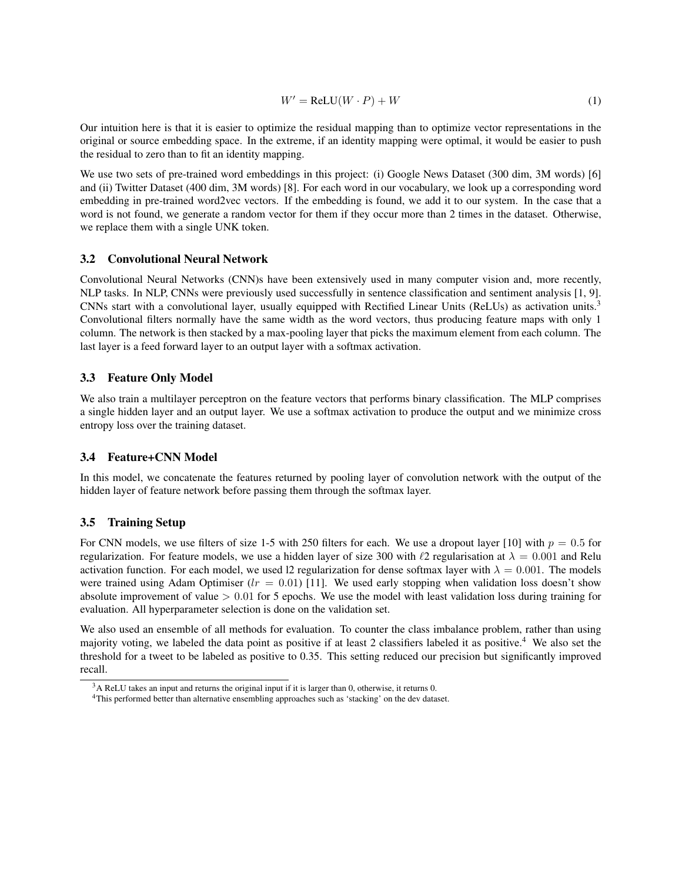$$
W' = \text{ReLU}(W \cdot P) + W \tag{1}
$$

Our intuition here is that it is easier to optimize the residual mapping than to optimize vector representations in the original or source embedding space. In the extreme, if an identity mapping were optimal, it would be easier to push the residual to zero than to fit an identity mapping.

We use two sets of pre-trained word embeddings in this project: (i) Google News Dataset (300 dim, 3M words) [6] and (ii) Twitter Dataset (400 dim, 3M words) [8]. For each word in our vocabulary, we look up a corresponding word embedding in pre-trained word2vec vectors. If the embedding is found, we add it to our system. In the case that a word is not found, we generate a random vector for them if they occur more than 2 times in the dataset. Otherwise, we replace them with a single UNK token.

#### 3.2 Convolutional Neural Network

Convolutional Neural Networks (CNN)s have been extensively used in many computer vision and, more recently, NLP tasks. In NLP, CNNs were previously used successfully in sentence classification and sentiment analysis [1, 9]. CNNs start with a convolutional layer, usually equipped with Rectified Linear Units (ReLUs) as activation units.<sup>3</sup> Convolutional filters normally have the same width as the word vectors, thus producing feature maps with only 1 column. The network is then stacked by a max-pooling layer that picks the maximum element from each column. The last layer is a feed forward layer to an output layer with a softmax activation.

### 3.3 Feature Only Model

We also train a multilayer perceptron on the feature vectors that performs binary classification. The MLP comprises a single hidden layer and an output layer. We use a softmax activation to produce the output and we minimize cross entropy loss over the training dataset.

#### 3.4 Feature+CNN Model

In this model, we concatenate the features returned by pooling layer of convolution network with the output of the hidden layer of feature network before passing them through the softmax layer.

#### 3.5 Training Setup

For CNN models, we use filters of size 1-5 with 250 filters for each. We use a dropout layer [10] with  $p = 0.5$  for regularization. For feature models, we use a hidden layer of size 300 with  $\ell$ 2 regularisation at  $\lambda = 0.001$  and Relu activation function. For each model, we used 12 regularization for dense softmax layer with  $\lambda = 0.001$ . The models were trained using Adam Optimiser ( $lr = 0.01$ ) [11]. We used early stopping when validation loss doesn't show absolute improvement of value  $> 0.01$  for 5 epochs. We use the model with least validation loss during training for evaluation. All hyperparameter selection is done on the validation set.

We also used an ensemble of all methods for evaluation. To counter the class imbalance problem, rather than using majority voting, we labeled the data point as positive if at least 2 classifiers labeled it as positive.<sup>4</sup> We also set the threshold for a tweet to be labeled as positive to 0.35. This setting reduced our precision but significantly improved recall.

 $3A$  ReLU takes an input and returns the original input if it is larger than 0, otherwise, it returns 0.

<sup>4</sup>This performed better than alternative ensembling approaches such as 'stacking' on the dev dataset.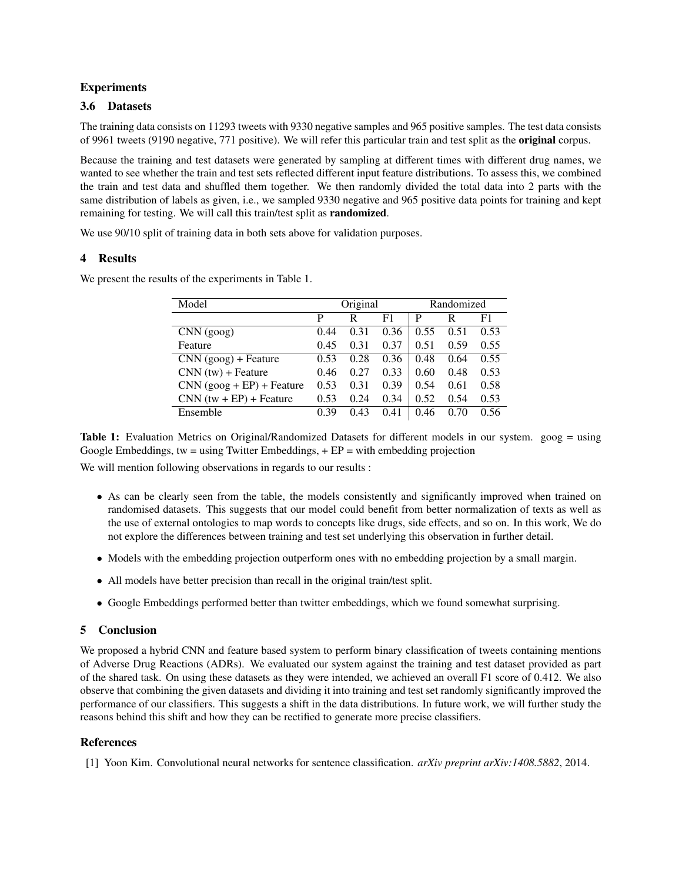### Experiments

### 3.6 Datasets

The training data consists on 11293 tweets with 9330 negative samples and 965 positive samples. The test data consists of 9961 tweets (9190 negative, 771 positive). We will refer this particular train and test split as the original corpus.

Because the training and test datasets were generated by sampling at different times with different drug names, we wanted to see whether the train and test sets reflected different input feature distributions. To assess this, we combined the train and test data and shuffled them together. We then randomly divided the total data into 2 parts with the same distribution of labels as given, i.e., we sampled 9330 negative and 965 positive data points for training and kept remaining for testing. We will call this train/test split as randomized.

We use 90/10 split of training data in both sets above for validation purposes.

### 4 Results

We present the results of the experiments in Table 1.

| Model                       | Original |      |      | Randomized |      |      |
|-----------------------------|----------|------|------|------------|------|------|
|                             | P        | R    | F1   | P          | R    | F1   |
| CNN (gog)                   | 0.44     | 0.31 | 0.36 | 0.55       | 0.51 | 0.53 |
| Feature                     | 0.45     | 0.31 | 0.37 | 0.51       | 0.59 | 0.55 |
| $CNN (good) + Feature$      | 0.53     | 0.28 | 0.36 | 0.48       | 0.64 | 0.55 |
| $CNN(tw) + Feature$         | 0.46     | 0.27 | 0.33 | 0.60       | 0.48 | 0.53 |
| $CNN (good + EP) + Feature$ | 0.53     | 0.31 | 0.39 | 0.54       | 0.61 | 0.58 |
| $CNN(tw + EP) + Feature$    | 0.53     | 0.24 | 0.34 | 0.52       | 0.54 | 0.53 |
| Ensemble                    | 0.39     | 0.43 | 0.41 | 0.46       | 0.70 | 0.56 |

Table 1: Evaluation Metrics on Original/Randomized Datasets for different models in our system. goog = using Google Embeddings, tw = using Twitter Embeddings,  $+ EP =$  with embedding projection

We will mention following observations in regards to our results :

- As can be clearly seen from the table, the models consistently and significantly improved when trained on randomised datasets. This suggests that our model could benefit from better normalization of texts as well as the use of external ontologies to map words to concepts like drugs, side effects, and so on. In this work, We do not explore the differences between training and test set underlying this observation in further detail.
- Models with the embedding projection outperform ones with no embedding projection by a small margin.
- All models have better precision than recall in the original train/test split.
- Google Embeddings performed better than twitter embeddings, which we found somewhat surprising.

### 5 Conclusion

We proposed a hybrid CNN and feature based system to perform binary classification of tweets containing mentions of Adverse Drug Reactions (ADRs). We evaluated our system against the training and test dataset provided as part of the shared task. On using these datasets as they were intended, we achieved an overall F1 score of 0.412. We also observe that combining the given datasets and dividing it into training and test set randomly significantly improved the performance of our classifiers. This suggests a shift in the data distributions. In future work, we will further study the reasons behind this shift and how they can be rectified to generate more precise classifiers.

### References

[1] Yoon Kim. Convolutional neural networks for sentence classification. *arXiv preprint arXiv:1408.5882*, 2014.